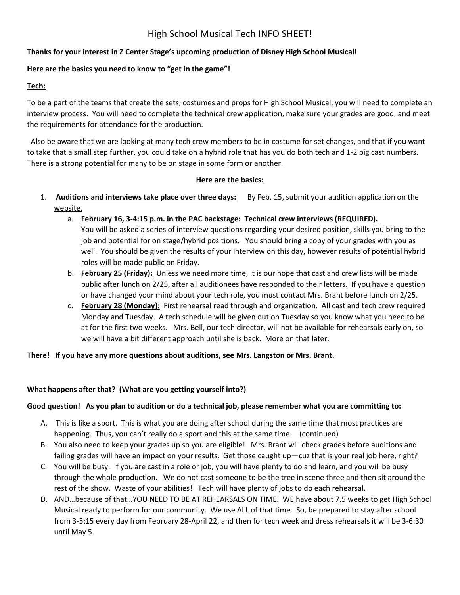# High School Musical Tech INFO SHEET!

## **Thanks for your interest in Z Center Stage's upcoming production of Disney High School Musical!**

## **Here are the basics you need to know to "get in the game"!**

#### **Tech:**

To be a part of the teams that create the sets, costumes and props for High School Musical, you will need to complete an interview process. You will need to complete the technical crew application, make sure your grades are good, and meet the requirements for attendance for the production.

 Also be aware that we are looking at many tech crew members to be in costume for set changes, and that if you want to take that a small step further, you could take on a hybrid role that has you do both tech and 1-2 big cast numbers. There is a strong potential for many to be on stage in some form or another.

#### **Here are the basics:**

- 1. **Auditions and interviews take place over three days:** By Feb. 15, submit your audition application on the website.
	- a. **February 16, 3-4:15 p.m. in the PAC backstage: Technical crew interviews (REQUIRED).**  You will be asked a series of interview questions regarding your desired position, skills you bring to the job and potential for on stage/hybrid positions. You should bring a copy of your grades with you as well. You should be given the results of your interview on this day, however results of potential hybrid roles will be made public on Friday.
	- b. **February 25 (Friday):** Unless we need more time, it is our hope that cast and crew lists will be made public after lunch on 2/25, after all auditionees have responded to their letters. If you have a question or have changed your mind about your tech role, you must contact Mrs. Brant before lunch on 2/25.
	- c. **February 28 (Monday):** First rehearsal read through and organization. All cast and tech crew required Monday and Tuesday. A tech schedule will be given out on Tuesday so you know what you need to be at for the first two weeks. Mrs. Bell, our tech director, will not be available for rehearsals early on, so we will have a bit different approach until she is back. More on that later.

**There! If you have any more questions about auditions, see Mrs. Langston or Mrs. Brant.**

## **What happens after that? (What are you getting yourself into?)**

## **Good question! As you plan to audition or do a technical job, please remember what you are committing to:**

- A. This is like a sport. This is what you are doing after school during the same time that most practices are happening. Thus, you can't really do a sport and this at the same time. (continued)
- B. You also need to keep your grades up so you are eligible! Mrs. Brant will check grades before auditions and failing grades will have an impact on your results. Get those caught up—cuz that is your real job here, right?
- C. You will be busy. If you are cast in a role or job, you will have plenty to do and learn, and you will be busy through the whole production. We do not cast someone to be the tree in scene three and then sit around the rest of the show. Waste of your abilities! Tech will have plenty of jobs to do each rehearsal.
- D. AND…because of that…YOU NEED TO BE AT REHEARSALS ON TIME. WE have about 7.5 weeks to get High School Musical ready to perform for our community. We use ALL of that time. So, be prepared to stay after school from 3-5:15 every day from February 28-April 22, and then for tech week and dress rehearsals it will be 3-6:30 until May 5.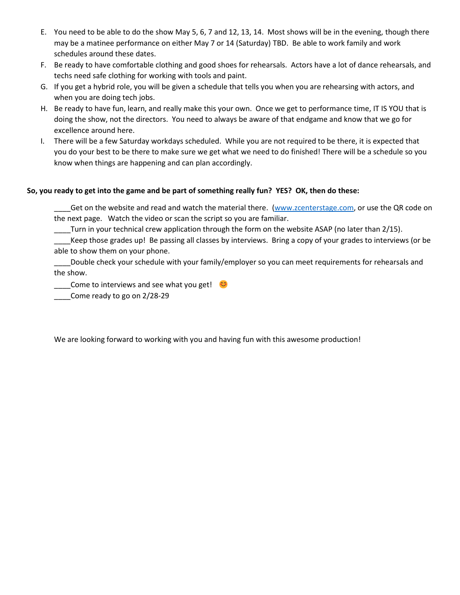- E. You need to be able to do the show May 5, 6, 7 and 12, 13, 14. Most shows will be in the evening, though there may be a matinee performance on either May 7 or 14 (Saturday) TBD. Be able to work family and work schedules around these dates.
- F. Be ready to have comfortable clothing and good shoes for rehearsals. Actors have a lot of dance rehearsals, and techs need safe clothing for working with tools and paint.
- G. If you get a hybrid role, you will be given a schedule that tells you when you are rehearsing with actors, and when you are doing tech jobs.
- H. Be ready to have fun, learn, and really make this your own. Once we get to performance time, IT IS YOU that is doing the show, not the directors. You need to always be aware of that endgame and know that we go for excellence around here.
- I. There will be a few Saturday workdays scheduled. While you are not required to be there, it is expected that you do your best to be there to make sure we get what we need to do finished! There will be a schedule so you know when things are happening and can plan accordingly.

## **So, you ready to get into the game and be part of something really fun? YES? OK, then do these:**

Get on the website and read and watch the material there. [\(www.zcenterstage.com,](http://www.zcenterstage.com/) or use the QR code on the next page. Watch the video or scan the script so you are familiar.

Turn in your technical crew application through the form on the website ASAP (no later than 2/15).

\_\_\_\_Keep those grades up! Be passing all classes by interviews. Bring a copy of your grades to interviews (or be able to show them on your phone.

\_\_\_\_Double check your schedule with your family/employer so you can meet requirements for rehearsals and the show.

 $\Box$  Come to interviews and see what you get!

\_\_\_\_Come ready to go on 2/28-29

We are looking forward to working with you and having fun with this awesome production!